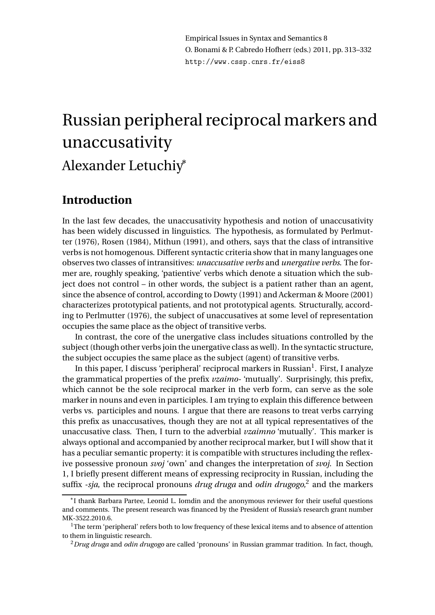Empirical Issues in Syntax and Semantics 8 O. Bonami & P. Cabredo Hofherr (eds.) 2011, pp. 313–332 http://www.cssp.cnrs.fr/eiss8

# Russian peripheral reciprocal markers and unaccusativity Alexander Letuchiy<sup>∗</sup>

# **Introduction**

In the last few decades, the unaccusativity hypothesis and notion of unaccusativity has been widely discussed in linguistics. The hypothesis, as formulated by Perlmutter (1976), Rosen (1984), Mithun (1991), and others, says that the class of intransitive verbs is not homogenous. Different syntactic criteria show that in many languages one observes two classes of intransitives: *unaccusative verbs* and *unergative verbs*. The former are, roughly speaking, 'patientive' verbs which denote a situation which the subject does not control – in other words, the subject is a patient rather than an agent, since the absence of control, according to Dowty (1991) and Ackerman & Moore (2001) characterizes prototypical patients, and not prototypical agents. Structurally, according to Perlmutter (1976), the subject of unaccusatives at some level of representation occupies the same place as the object of transitive verbs.

In contrast, the core of the unergative class includes situations controlled by the subject (though other verbs join the unergative class as well). In the syntactic structure, the subject occupies the same place as the subject (agent) of transitive verbs.

In this paper, I discuss 'peripheral' reciprocal markers in Russian $^{\rm l}$ . First, I analyze the grammatical properties of the prefix *vzaimo-* 'mutually'. Surprisingly, this prefix, which cannot be the sole reciprocal marker in the verb form, can serve as the sole marker in nouns and even in participles. I am trying to explain this difference between verbs vs. participles and nouns. I argue that there are reasons to treat verbs carrying this prefix as unaccusatives, though they are not at all typical representatives of the unaccusative class. Then, I turn to the adverbial *vzaimno* 'mutually'. This marker is always optional and accompanied by another reciprocal marker, but I will show that it has a peculiar semantic property: it is compatible with structures including the reflexive possessive pronoun *svoj* 'own' and changes the interpretation of *svoj*. In Section 1, I briefly present different means of expressing reciprocity in Russian, including the suffix *-sja*, the reciprocal pronouns *drug druga* and *odin drugogo,*<sup>2</sup> and the markers

<sup>∗</sup> I thank Barbara Partee, Leonid L. Iomdin and the anonymous reviewer for their useful questions and comments. The present research was financed by the President of Russia's research grant number MK-3522.2010.6.

 $<sup>1</sup>$ The term 'peripheral' refers both to low frequency of these lexical items and to absence of attention</sup> to them in linguistic research.

<sup>2</sup>*Drug druga* and *odin drugogo* are called 'pronouns' in Russian grammar tradition. In fact, though,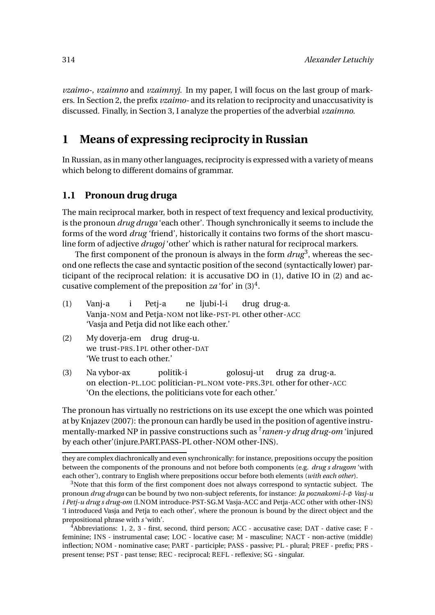*vzaimo-*, *vzaimno* and *vzaimnyj*. In my paper, I will focus on the last group of markers. In Section 2, the prefix *vzaimo-* and its relation to reciprocity and unaccusativity is discussed. Finally, in Section 3, I analyze the properties of the adverbial *vzaimno*.

# **1 Means of expressing reciprocity in Russian**

In Russian, as in many other languages, reciprocity is expressed with a variety of means which belong to different domains of grammar.

#### **1.1 Pronoun drug druga**

The main reciprocal marker, both in respect of text frequency and lexical productivity, is the pronoun *drug druga* 'each other'. Though synchronically it seems to include the forms of the word *drug* 'friend', historically it contains two forms of the short masculine form of adjective *drugoj* 'other' which is rather natural for reciprocal markers.

The first component of the pronoun is always in the form  $drug^3$ , whereas the second one reflects the case and syntactic position of the second (syntactically lower) participant of the reciprocal relation: it is accusative DO in (1), dative IO in (2) and accusative complement of the preposition  $za$  'for' in  $(3)^4$ .

- (1) Vanj-a Vanja-NOM and Petja-NOM not like-PST-PL other other-ACC i Petj-a ne ljubi-l-i drug drug-a. 'Vasja and Petja did not like each other.'
- (2) My doverja-em drug drug-u. we trust-PRS.1PL other other-DAT 'We trust to each other.'
- (3) Na vybor-ax on election-PL.LOC politician-PL.NOM vote-PRS.3PL other for other-ACC politik-i golosuj-ut drug za drug-a. 'On the elections, the politicians vote for each other.'

The pronoun has virtually no restrictions on its use except the one which was pointed at by Knjazev (2007): the pronoun can hardly be used in the position of agentive instrumentally-marked NP in passive constructions such as ? *ranen-y drug drug-om* 'injured by each other'(injure.PART.PASS-PL other-NOM other-INS).

they are complex diachronically and even synchronically: for instance, prepositions occupy the position between the components of the pronouns and not before both components (e.g. *drug s drugom* 'with each other'), contrary to English where prepositions occur before both elements (*with each other*).

<sup>&</sup>lt;sup>3</sup>Note that this form of the first component does not always correspond to syntactic subject. The pronoun *drug druga* can be bound by two non-subject referents, for instance: *Ja poznakomi-l-* $\emptyset$  Vasj-u *i Petj-u drug s drug-om* (I.NOM introduce-PST-SG.M Vasja-ACC and Petja-ACC other with other-INS) 'I introduced Vasja and Petja to each other', where the pronoun is bound by the direct object and the prepositional phrase with *s* 'with'.

<sup>4</sup>Abbreviations: 1, 2, 3 - first, second, third person; ACC - accusative case; DAT - dative case; F feminine; INS - instrumental case; LOC - locative case; M - masculine; NACT - non-active (middle) inflection; NOM - nominative case; PART - participle; PASS - passive; PL - plural; PREF - prefix; PRS present tense; PST - past tense; REC - reciprocal; REFL - reflexive; SG - singular.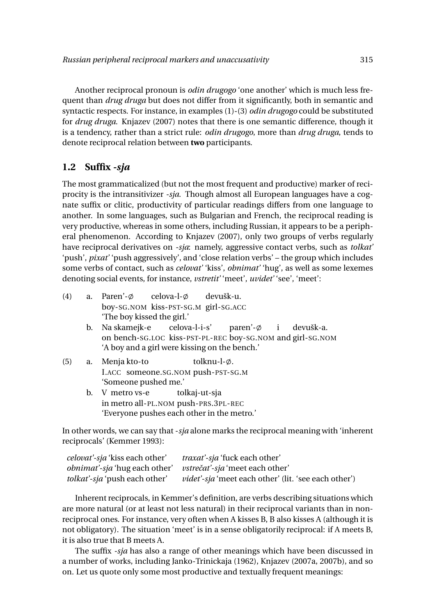Another reciprocal pronoun is *odin drugogo* 'one another' which is much less frequent than *drug druga* but does not differ from it significantly, both in semantic and syntactic respects. For instance, in examples (1)-(3) *odin drugogo* could be substituted for *drug druga*. Knjazev (2007) notes that there is one semantic difference, though it is a tendency, rather than a strict rule: *odin drugogo*, more than *drug druga*, tends to denote reciprocal relation between **two** participants.

## **1.2 Suffix** *-sja*

The most grammaticalized (but not the most frequent and productive) marker of reciprocity is the intransitivizer *-sja*. Though almost all European languages have a cognate suffix or clitic, productivity of particular readings differs from one language to another. In some languages, such as Bulgarian and French, the reciprocal reading is very productive, whereas in some others, including Russian, it appears to be a peripheral phenomenon. According to Knjazev (2007), only two groups of verbs regularly have reciprocal derivatives on *-sja*: namely, aggressive contact verbs, such as *tolkat'* 'push', *pixat'* 'push aggressively', and 'close relation verbs' – the group which includes some verbs of contact, such as *celovat'* 'kiss', *obnimat'* 'hug', as well as some lexemes denoting social events, for instance, *vstretit'* 'meet', *uvidet'* 'see', 'meet':

- (4) a. Paren'- $\emptyset$ boy-SG.NOM kiss-PST-SG.M girl-SG.ACC  $celova-l- $\emptyset$$ devušk-u. 'The boy kissed the girl.'
	- b. Na skamejk-e on bench-SG.LOC kiss-PST-PL-REC boy-SG.NOM and girl-SG.NOM celova-l-i-s' paren'- $\phi$ i devušk-a. 'A boy and a girl were kissing on the bench.'
- (5) a. Menja kto-to I.ACC someone.SG.NOM push-PST-SG.M tolknu-l-ø. 'Someone pushed me.' b. V metro vs-e tolkaj-ut-sja
	- in metro all-PL.NOM push-PRS.3PL-REC 'Everyone pushes each other in the metro.'

In other words, we can say that -*sja* alone marks the reciprocal meaning with 'inherent reciprocals' (Kemmer 1993):

| <i>celovat'-sja</i> 'kiss each other' | <i>traxat'-sja</i> 'fuck each other'                        |
|---------------------------------------|-------------------------------------------------------------|
| <i>obnimat'-sja</i> 'hug each other'  | <i>vstrečať-sja</i> 'meet each other'                       |
| <i>tolkat'-sja</i> 'push each other'  | <i>videt'-sja</i> 'meet each other' (lit. 'see each other') |

Inherent reciprocals, in Kemmer's definition, are verbs describing situations which are more natural (or at least not less natural) in their reciprocal variants than in nonreciprocal ones. For instance, very often when A kisses B, B also kisses A (although it is not obligatory). The situation 'meet' is in a sense obligatorily reciprocal: if A meets B, it is also true that B meets A.

The suffix *-sja* has also a range of other meanings which have been discussed in a number of works, including Janko-Trinickaja (1962), Knjazev (2007a, 2007b), and so on. Let us quote only some most productive and textually frequent meanings: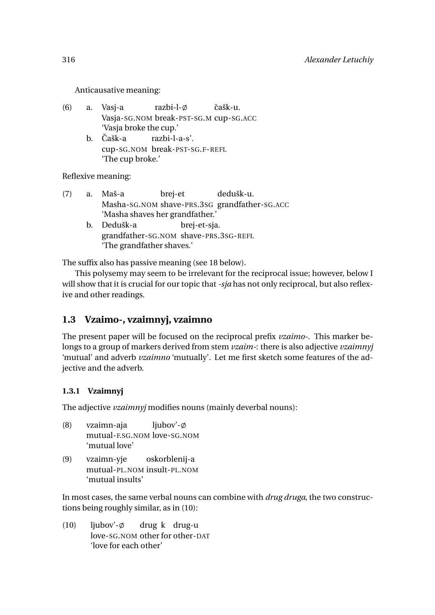Anticausative meaning:

- (6) a. Vasj-a Vasja-SG.NOM break-PST-SG.M cup-SG.ACC razbi-l-ø ˇcašk-u. 'Vasja broke the cup.'
	- b. Čašk-a cup-SG.NOM break-PST-SG.F-REFL razbi-l-a-s'. 'The cup broke.'

Reflexive meaning:

- (7) a. Maš-a Masha-SG.NOM shave-PRS.3SG grandfather-SG.ACC brej-et dedušk-u. 'Masha shaves her grandfather.'
	- b. Dedušk-a grandfather-SG.NOM shave-PRS.3SG-REFL brej-et-sja. 'The grandfather shaves.'

The suffix also has passive meaning (see 18 below).

This polysemy may seem to be irrelevant for the reciprocal issue; however, below I will show that it is crucial for our topic that *-sja* has not only reciprocal, but also reflexive and other readings.

# **1.3 Vzaimo-, vzaimnyj, vzaimno**

The present paper will be focused on the reciprocal prefix *vzaimo-*. This marker belongs to a group of markers derived from stem *vzaim-*: there is also adjective *vzaimnyj* 'mutual' and adverb *vzaimno* 'mutually'. Let me first sketch some features of the adjective and the adverb.

#### **1.3.1 Vzaimnyj**

The adjective *vzaimnyj* modifies nouns (mainly deverbal nouns):

- (8) vzaimn-aja mutual-F.SG.NOM love-SG.NOM ljubov'- $\emptyset$ 'mutual love'
- (9) vzaimn-yje mutual-PL.NOM insult-PL.NOM oskorblenij-a 'mutual insults'

In most cases, the same verbal nouns can combine with *drug druga*, the two constructions being roughly similar, as in (10):

 $(10)$  liubov'- $\emptyset$ love-SG.NOM other for other-DAT drug k drug-u 'love for each other'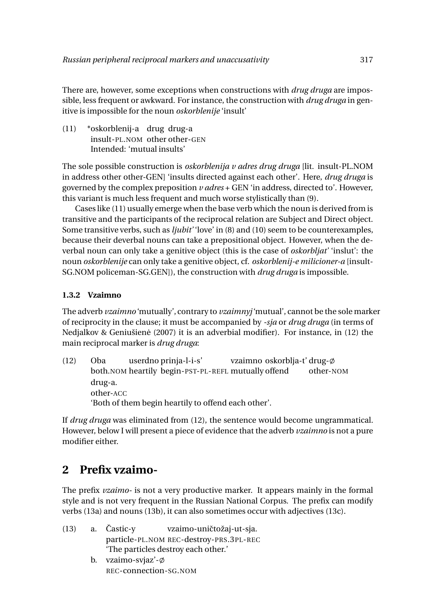There are, however, some exceptions when constructions with *drug druga* are impossible, less frequent or awkward. For instance, the construction with *drug druga* in genitive is impossible for the noun *oskorblenije* 'insult'

(11) \*oskorblenij-a drug drug-a insult-PL.NOM other other-GEN Intended: 'mutual insults'

The sole possible construction is *oskorblenija v adres drug druga* [lit. insult-PL.NOM in address other other-GEN] 'insults directed against each other'. Here, *drug druga* is governed by the complex preposition *v adres* + GEN 'in address, directed to'. However, this variant is much less frequent and much worse stylistically than (9).

Cases like (11) usually emerge when the base verb which the noun is derived from is transitive and the participants of the reciprocal relation are Subject and Direct object. Some transitive verbs, such as *ljubit'* 'love' in (8) and (10) seem to be counterexamples, because their deverbal nouns can take a prepositional object. However, when the deverbal noun can only take a genitive object (this is the case of *oskorbljat'* 'inslut': the noun *oskorblenije* can only take a genitive object, cf. *oskorblenij-e milicioner-a* [insult-SG.NOM policeman-SG.GEN]), the construction with *drug druga* is impossible.

#### **1.3.2 Vzaimno**

The adverb *vzaimno* 'mutually', contrary to *vzaimnyj* 'mutual', cannot be the sole marker of reciprocity in the clause; it must be accompanied by *-sja* or *drug druga* (in terms of Nedjalkov & Geniušienė (2007) it is an adverbial modifier). For instance, in (12) the main reciprocal marker is *drug druga*:

(12) Oba both.NOM heartily begin-PST-PL-REFL mutually offend userdno prinja-l-i-s' vzaimno oskorblja-ť drug- $\phi$ other-NOM drug-a. other-ACC 'Both of them begin heartily to offend each other'.

If *drug druga* was eliminated from (12), the sentence would become ungrammatical. However, below I will present a piece of evidence that the adverb *vzaimno* is not a pure modifier either.

# **2 Prefix vzaimo-**

The prefix *vzaimo-* is not a very productive marker. It appears mainly in the formal style and is not very frequent in the Russian National Corpus. The prefix can modify verbs (13a) and nouns (13b), it can also sometimes occur with adjectives (13c).

|  | $(13)$ a. Castic-y       | vzaimo-uničtožaj-ut-sja.                |
|--|--------------------------|-----------------------------------------|
|  |                          | particle-PL.NOM REC-destroy-PRS.3PL-REC |
|  |                          | 'The particles destroy each other.'     |
|  | b. vzaimo-svjaz'- $\phi$ |                                         |
|  | REC-connection-SG.NOM    |                                         |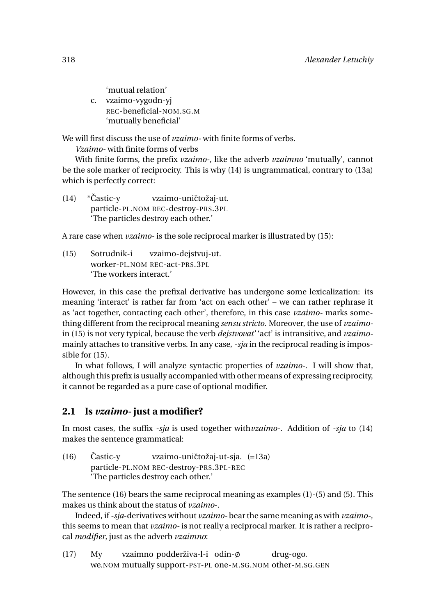'mutual relation' c. vzaimo-vygodn-yj REC-beneficial-NOM.SG.M 'mutually beneficial'

We will first discuss the use of *vzaimo-* with finite forms of verbs.

*Vzaimo-* with finite forms of verbs

With finite forms, the prefix *vzaimo-*, like the adverb *vzaimno* 'mutually', cannot be the sole marker of reciprocity. This is why (14) is ungrammatical, contrary to (13a) which is perfectly correct:

 $(14)$  \*Častic-v particle-PL.NOM REC-destroy-PRS.3PL vzaimo-uničtožaj-ut. 'The particles destroy each other.'

A rare case when *vzaimo-* is the sole reciprocal marker is illustrated by (15):

(15) Sotrudnik-i worker-PL.NOM REC-act-PRS.3PL vzaimo-dejstvuj-ut. 'The workers interact.'

However, in this case the prefixal derivative has undergone some lexicalization: its meaning 'interact' is rather far from 'act on each other' – we can rather rephrase it as 'act together, contacting each other', therefore, in this case *vzaimo-* marks something different from the reciprocal meaning *sensu stricto*. Moreover, the use of *vzaimo*in (15) is not very typical, because the verb *dejstvovat'* 'act' is intransitive, and *vzaimo*mainly attaches to transitive verbs. In any case, *-sja* in the reciprocal reading is impossible for (15).

In what follows, I will analyze syntactic properties of *vzaimo-*. I will show that, although this prefix is usually accompanied with other means of expressing reciprocity, it cannot be regarded as a pure case of optional modifier.

# **2.1 Is** *vzaimo-* **just a modifier?**

In most cases, the suffix *-sja* is used together with*vzaimo-*. Addition of *-sja* to (14) makes the sentence grammatical:

 $(16)$  Castic-y particle-PL.NOM REC-destroy-PRS.3PL-REC vzaimo-uničtožaj-ut-sja. (=13a) 'The particles destroy each other.'

The sentence (16) bears the same reciprocal meaning as examples (1)-(5) and (5). This makes us think about the status of *vzaimo*-.

Indeed, if*-sja*-derivatives without *vzaimo-* bear the same meaning as with *vzaimo-*, this seems to mean that *vzaimo-* is not really a reciprocal marker. It is rather a reciprocal *modifier*, just as the adverb *vzaimno*:

(17) My we.NOM mutually support-PST-PL one-M.SG.NOM other-M.SG.GENvzaimno podderživa-l-i $\,$ odin- $\phi$ drug-ogo.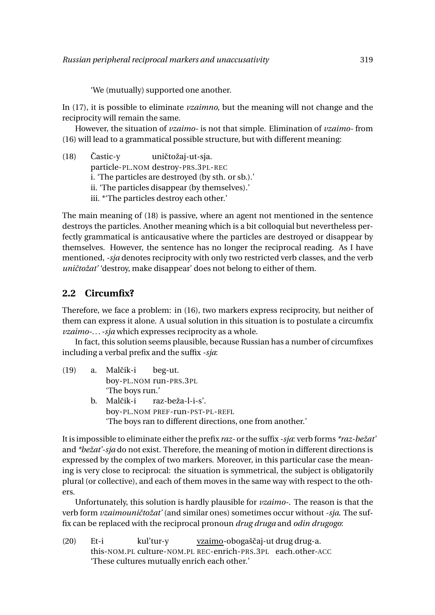'We (mutually) supported one another.

In (17), it is possible to eliminate *vzaimno*, but the meaning will not change and the reciprocity will remain the same.

However, the situation of *vzaimo-* is not that simple. Elimination of *vzaimo-* from (16) will lead to a grammatical possible structure, but with different meaning:

 $(18)$  Častic-y particle-PL.NOM destroy-PRS.3PL-REC uničtožaj-ut-sja. i. 'The particles are destroyed (by sth. or sb.).' ii. 'The particles disappear (by themselves).' iii. \*'The particles destroy each other.'

The main meaning of (18) is passive, where an agent not mentioned in the sentence destroys the particles. Another meaning which is a bit colloquial but nevertheless perfectly grammatical is anticausative where the particles are destroyed or disappear by themselves. However, the sentence has no longer the reciprocal reading. As I have mentioned, *-sja* denotes reciprocity with only two restricted verb classes, and the verb *uničtožať* 'destroy, make disappear' does not belong to either of them.

#### **2.2 Circumfix?**

Therefore, we face a problem: in (16), two markers express reciprocity, but neither of them can express it alone. A usual solution in this situation is to postulate a circumfix *vzaimo-... -sja* which expresses reciprocity as a whole.

In fact, this solution seems plausible, because Russian has a number of circumfixes including a verbal prefix and the suffix *-sja*:

- $(19)$  a. Malčik-i boy-PL.NOM run-PRS.3PL beg-ut. 'The boys run.'
	- b. Malčik-i boy-PL.NOM PREF-run-PST-PL-REFL raz-beža-l-i-s'. 'The boys ran to different directions, one from another.'

It is impossible to eliminate either the prefix *raz-* or the suffix *-sja*: verb forms *\*raz-bežat'* and *\*bežat'-sja* do not exist. Therefore, the meaning of motion in different directions is expressed by the complex of two markers. Moreover, in this particular case the meaning is very close to reciprocal: the situation is symmetrical, the subject is obligatorily plural (or collective), and each of them moves in the same way with respect to the others.

Unfortunately, this solution is hardly plausible for *vzaimo-*. The reason is that the verb form *vzaimouničtožať* (and similar ones) sometimes occur without -sja. The suffix can be replaced with the reciprocal pronoun *drug druga* and *odin drugogo*:

(20) Et-i this-NOM.PL culture-NOM.PL REC-enrich-PRS.3PL each.other-ACC kul'tur-y <u>vzaimo</u>-obogaščaj-ut drug drug-a. 'These cultures mutually enrich each other.'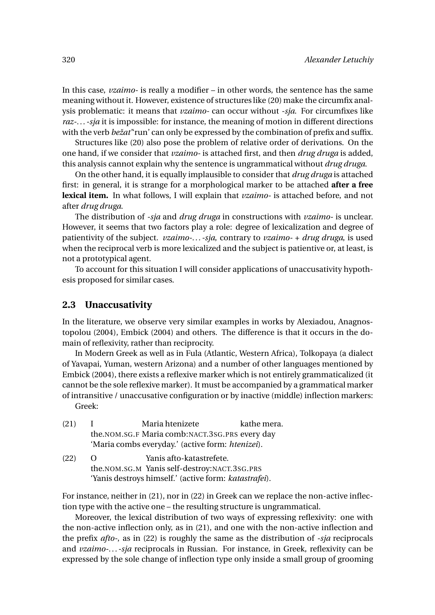In this case, *vzaimo-* is really a modifier – in other words, the sentence has the same meaning without it. However, existence of structures like (20) make the circumfix analysis problematic: it means that *vzaimo-* can occur without *-sja*. For circumfixes like *raz-... -sja* it is impossible: for instance, the meaning of motion in different directions with the verb *bežat'*'run' can only be expressed by the combination of prefix and suffix.

Structures like (20) also pose the problem of relative order of derivations. On the one hand, if we consider that *vzaimo-* is attached first, and then *drug druga* is added, this analysis cannot explain why the sentence is ungrammatical without *drug druga*.

On the other hand, it is equally implausible to consider that *drug druga* is attached first: in general, it is strange for a morphological marker to be attached **after a free lexical item.** In what follows, I will explain that *vzaimo-* is attached before, and not after *drug druga*.

The distribution of *-sja* and *drug druga* in constructions with *vzaimo-* is unclear. However, it seems that two factors play a role: degree of lexicalization and degree of patientivity of the subject. *vzaimo-... -sja*, contrary to *vzaimo-* + *drug druga*, is used when the reciprocal verb is more lexicalized and the subject is patientive or, at least, is not a prototypical agent.

To account for this situation I will consider applications of unaccusativity hypothesis proposed for similar cases.

#### **2.3 Unaccusativity**

In the literature, we observe very similar examples in works by Alexiadou, Anagnostopolou (2004), Embick (2004) and others. The difference is that it occurs in the domain of reflexivity, rather than reciprocity.

In Modern Greek as well as in Fula (Atlantic, Western Africa), Tolkopaya (a dialect of Yavapai, Yuman, western Arizona) and a number of other languages mentioned by Embick (2004), there exists a reflexive marker which is not entirely grammaticalized (it cannot be the sole reflexive marker). It must be accompanied by a grammatical marker of intransitive / unaccusative configuration or by inactive (middle) inflection markers:

Greek:

- (21) I the.NOM.SG.F Maria comb:NACT.3SG.PRS every day Maria htenizete kathe mera. 'Maria combs everyday.' (active form: *htenizei*).
- $(22)$  O the.NOM.SG.M Yanis self-destroy:NACT.3SG.PRS Yanis afto-katastrefete. 'Yanis destroys himself.' (active form: *katastrafei*).

For instance, neither in (21), nor in (22) in Greek can we replace the non-active inflection type with the active one – the resulting structure is ungrammatical.

Moreover, the lexical distribution of two ways of expressing reflexivity: one with the non-active inflection only, as in (21), and one with the non-active inflection and the prefix *afto-*, as in (22) is roughly the same as the distribution of *-sja* reciprocals and *vzaimo-... -sja* reciprocals in Russian. For instance, in Greek, reflexivity can be expressed by the sole change of inflection type only inside a small group of grooming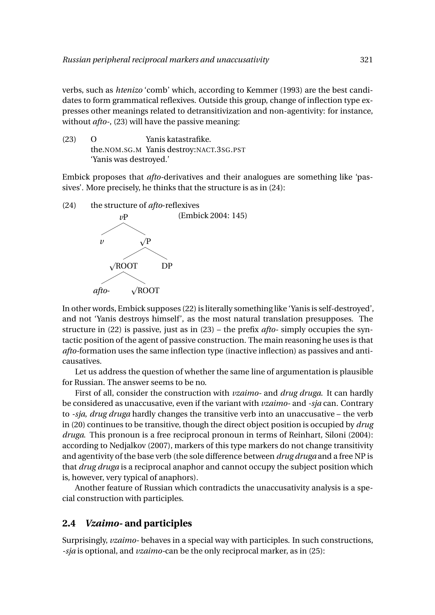verbs, such as *htenizo* 'comb' which, according to Kemmer (1993) are the best candidates to form grammatical reflexives. Outside this group, change of inflection type expresses other meanings related to detransitivization and non-agentivity: for instance, without *afto-*, (23) will have the passive meaning:

(23) O the.NOM.SG.M Yanis destroy:NACT.3SG.PST Yanis katastrafike. 'Yanis was destroyed.'

Embick proposes that *afto-*derivatives and their analogues are something like 'passives'. More precisely, he thinks that the structure is as in (24):

(24) the structure of *afto*-reflexives



In other words, Embick supposes (22) is literally something like 'Yanis is self-destroyed', and not 'Yanis destroys himself', as the most natural translation presupposes. The structure in (22) is passive, just as in (23) – the prefix *afto-* simply occupies the syntactic position of the agent of passive construction. The main reasoning he uses is that *afto-*formation uses the same inflection type (inactive inflection) as passives and anticausatives.

Let us address the question of whether the same line of argumentation is plausible for Russian. The answer seems to be no.

First of all, consider the construction with *vzaimo-* and *drug druga*. It can hardly be considered as unaccusative, even if the variant with *vzaimo-* and *-sja* can. Contrary to *-sja*, *drug druga* hardly changes the transitive verb into an unaccusative – the verb in (20) continues to be transitive, though the direct object position is occupied by *drug druga*. This pronoun is a free reciprocal pronoun in terms of Reinhart, Siloni (2004): according to Nedjalkov (2007), markers of this type markers do not change transitivity and agentivity of the base verb (the sole difference between *drug druga* and a free NP is that *drug druga* is a reciprocal anaphor and cannot occupy the subject position which is, however, very typical of anaphors).

Another feature of Russian which contradicts the unaccusativity analysis is a special construction with participles.

#### **2.4** *Vzaimo-* **and participles**

Surprisingly, *vzaimo-* behaves in a special way with participles. In such constructions, *-sja* is optional, and *vzaimo-*can be the only reciprocal marker, as in (25):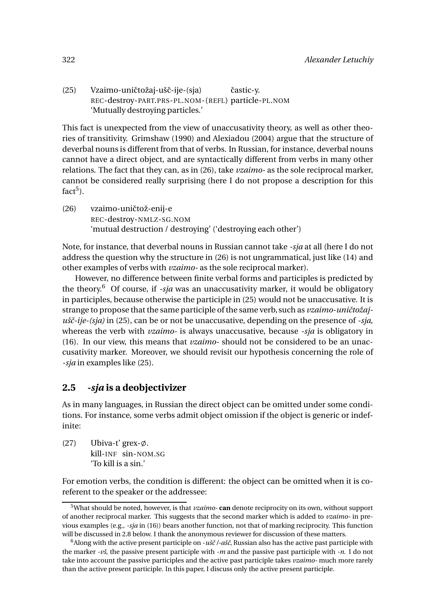(25) Vzaimo-uničtožaj-ušč-ije-(sja) REC-destroy-PART.PRS-PL.NOM-(REFL) particle-PL.NOM častic-v. 'Mutually destroying particles.'

This fact is unexpected from the view of unaccusativity theory, as well as other theories of transitivity. Grimshaw (1990) and Alexiadou (2004) argue that the structure of deverbal nouns is different from that of verbs. In Russian, for instance, deverbal nouns cannot have a direct object, and are syntactically different from verbs in many other relations. The fact that they can, as in (26), take *vzaimo-* as the sole reciprocal marker, cannot be considered really surprising (here I do not propose a description for this fact<sup>5</sup>).

(26) vzaimo-uničtož-enij-e REC-destroy-NMLZ-SG.NOM 'mutual destruction / destroying' ('destroying each other')

Note, for instance, that deverbal nouns in Russian cannot take *-sja* at all (here I do not address the question why the structure in (26) is not ungrammatical, just like (14) and other examples of verbs with *vzaimo-* as the sole reciprocal marker).

However, no difference between finite verbal forms and participles is predicted by the theory.<sup>6</sup> Of course, if *-sja* was an unaccusativity marker, it would be obligatory in participles, because otherwise the participle in (25) would not be unaccusative. It is strange to propose that the same participle of the same verb, such as *vzaimo-uničtožajušˇc-ije-(sja)* in (25), can be or not be unaccusative, depending on the presence of *-sja*, whereas the verb with *vzaimo-* is always unaccusative, because *-sja* is obligatory in (16). In our view, this means that *vzaimo-* should not be considered to be an unaccusativity marker. Moreover, we should revisit our hypothesis concerning the role of *-sja* in examples like (25).

## **2.5** *-sja* **is a deobjectivizer**

As in many languages, in Russian the direct object can be omitted under some conditions. For instance, some verbs admit object omission if the object is generic or indefinite:

(27) Ubiva-t' grex- $\emptyset$ . kill-INF sin-NOM.SG 'To kill is a sin.'

For emotion verbs, the condition is different: the object can be omitted when it is coreferent to the speaker or the addressee:

<sup>5</sup>What should be noted, however, is that *vzaimo-* **can** denote reciprocity on its own, without support of another reciprocal marker. This suggests that the second marker which is added to *vzaimo-* in previous examples (e.g., *-sja* in (16)) bears another function, not that of marking reciprocity. This function will be discussed in 2.8 below. I thank the anonymous reviewer for discussion of these matters.

<sup>6</sup>Along with the active present participle on -*ušˇc /-ašˇc*, Russian also has the active past participle with the marker *-vš*, the passive present participle with *-m* and the passive past participle with *-n*. I do not take into account the passive participles and the active past participle takes *vzaimo-* much more rarely than the active present participle. In this paper, I discuss only the active present participle.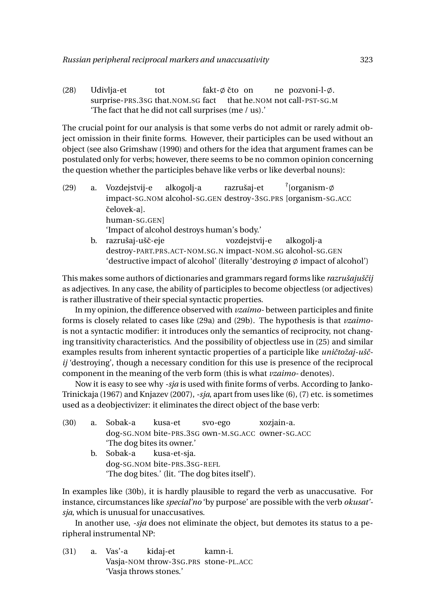(28) Udivlja-et surprise-PRS.3SG that.NOM.SG fact tot fakt-ø čto) on that he.NOM not call-PST-SG.M ne pozvoni-l-ø. 'The fact that he did not call surprises (me / us).'

The crucial point for our analysis is that some verbs do not admit or rarely admit object omission in their finite forms. However, their participles can be used without an object (see also Grimshaw (1990) and others for the idea that argument frames can be postulated only for verbs; however, there seems to be no common opinion concerning the question whether the participles behave like verbs or like deverbal nouns):

- (29) a. Vozdejstvij-e impact-SG.NOM alcohol-SG.GEN destroy-3SG.PRS [organism-SG.ACC alkogolj-a razrušaj-et  $\frac{?}{'}$  [organism- $\phi$ čelovek-al. human-SG.GEN] 'Impact of alcohol destroys human's body.' b. razrušaj-ušč-eje destroy-PART.PRS.ACT-NOM.SG.N impact-NOM.SG alcohol-SG.GEN vozdejstvij-e alkogolj-a
	- 'destructive impact of alcohol' (literally 'destroying  $\emptyset$  impact of alcohol')

This makes some authors of dictionaries and grammars regard forms like *razrušajuščij* as adjectives. In any case, the ability of participles to become objectless (or adjectives) is rather illustrative of their special syntactic properties.

In my opinion, the difference observed with *vzaimo-* between participles and finite forms is closely related to cases like (29a) and (29b). The hypothesis is that *vzaimo*is not a syntactic modifier: it introduces only the semantics of reciprocity, not changing transitivity characteristics. And the possibility of objectless use in (25) and similar examples results from inherent syntactic properties of a participle like *uničtožaj-uščij* 'destroying', though a necessary condition for this use is presence of the reciprocal component in the meaning of the verb form (this is what *vzaimo-* denotes).

Now it is easy to see why *-sja* is used with finite forms of verbs. According to Janko-Trinickaja (1967) and Knjazev (2007),*-sja*, apart from uses like (6), (7) etc. is sometimes used as a deobjectivizer: it eliminates the direct object of the base verb:

| (30) | a. Sobak-a kusa-et         |                                  | svo-ego                                           | xozjain-a. |
|------|----------------------------|----------------------------------|---------------------------------------------------|------------|
|      |                            |                                  | dog-SG.NOM bite-PRS.3SG own-M.SG.ACC owner-SG.ACC |            |
|      | 'The dog bites its owner.' |                                  |                                                   |            |
|      | b. Sobak-a kusa-et-sja.    |                                  |                                                   |            |
|      |                            | $1 - 22 - 111 - 222 - 022 - 222$ |                                                   |            |

dog-SG.NOM bite-PRS.3SG-REFL 'The dog bites.' (lit. 'The dog bites itself').

In examples like (30b), it is hardly plausible to regard the verb as unaccusative. For instance, circumstances like *special'no* 'by purpose' are possible with the verb *okusat' sja*, which is unusual for unaccusatives.

In another use, *-sja* does not eliminate the object, but demotes its status to a peripheral instrumental NP:

(31) a. Vas'-a Vasja-NOM throw-3SG.PRS stone-PL.ACC kidaj-et kamn-i. 'Vasja throws stones.'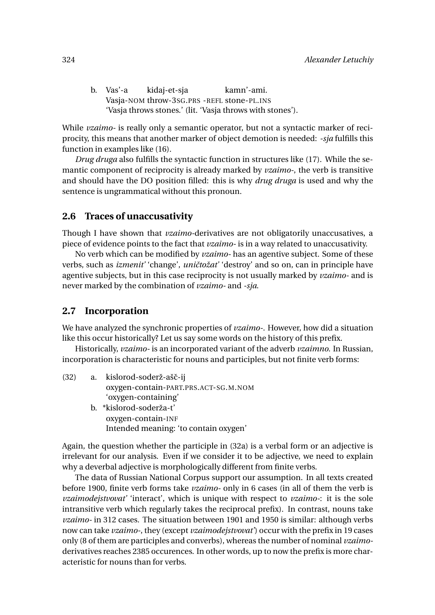| b. Vas'-a | kidaj-et-sja | kamn'-ami.                                                |  |
|-----------|--------------|-----------------------------------------------------------|--|
|           |              | Vasja-NOM throw-3sG.PRS -REFL stone-PL.INS                |  |
|           |              | 'Vasja throws stones.' (lit. 'Vasja throws with stones'). |  |

While *vzaimo-* is really only a semantic operator, but not a syntactic marker of reciprocity, this means that another marker of object demotion is needed: *-sja* fulfills this function in examples like (16).

*Drug druga* also fulfills the syntactic function in structures like (17). While the semantic component of reciprocity is already marked by *vzaimo-*, the verb is transitive and should have the DO position filled: this is why *drug druga* is used and why the sentence is ungrammatical without this pronoun.

#### **2.6 Traces of unaccusativity**

Though I have shown that *vzaimo-*derivatives are not obligatorily unaccusatives, a piece of evidence points to the fact that *vzaimo-* is in a way related to unaccusativity.

No verb which can be modified by *vzaimo-* has an agentive subject. Some of these verbs, such as *izmenit'* 'change', *uničtožat'* 'destroy' and so on, can in principle have agentive subjects, but in this case reciprocity is not usually marked by *vzaimo-* and is never marked by the combination of *vzaimo-* and *-sja*.

#### **2.7 Incorporation**

We have analyzed the synchronic properties of *vzaimo-*. However, how did a situation like this occur historically? Let us say some words on the history of this prefix.

Historically, *vzaimo-* is an incorporated variant of the adverb *vzaimno*. In Russian, incorporation is characteristic for nouns and participles, but not finite verb forms:

| (32) | a. | kislorod-soderž-ašč-ij                |  |
|------|----|---------------------------------------|--|
|      |    | oxygen-contain-PART.PRS.ACT-SG.M.NOM  |  |
|      |    | 'oxygen-containing'                   |  |
|      |    | b. *kislorod-soderža-t'               |  |
|      |    | oxygen-contain-INF                    |  |
|      |    | Intended meaning: 'to contain oxygen' |  |

Again, the question whether the participle in (32a) is a verbal form or an adjective is irrelevant for our analysis. Even if we consider it to be adjective, we need to explain why a deverbal adjective is morphologically different from finite verbs.

The data of Russian National Corpus support our assumption. In all texts created before 1900, finite verb forms take *vzaimo-* only in 6 cases (in all of them the verb is *vzaimodejstvovat'* 'interact', which is unique with respect to *vzaimo-*: it is the sole intransitive verb which regularly takes the reciprocal prefix). In contrast, nouns take *vzaimo-* in 312 cases. The situation between 1901 and 1950 is similar: although verbs now can take *vzaimo-*, they (except *vzaimodejstvovat'*) occur with the prefix in 19 cases only (8 of them are participles and converbs), whereas the number of nominal *vzaimo*derivatives reaches 2385 occurences. In other words, up to now the prefix is more characteristic for nouns than for verbs.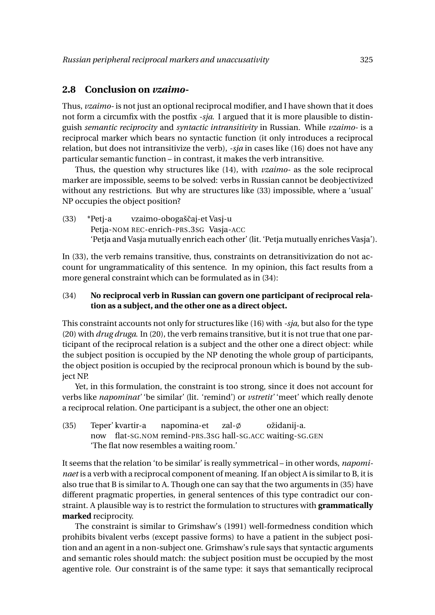#### **2.8 Conclusion on** *vzaimo-*

Thus, *vzaimo-* is not just an optional reciprocal modifier, and I have shown that it does not form a circumfix with the postfix *-sja*. I argued that it is more plausible to distinguish *semantic reciprocity* and *syntactic intransitivity* in Russian. While *vzaimo-* is a reciprocal marker which bears no syntactic function (it only introduces a reciprocal relation, but does not intransitivize the verb), *-sja* in cases like (16) does not have any particular semantic function – in contrast, it makes the verb intransitive.

Thus, the question why structures like (14), with *vzaimo-* as the sole reciprocal marker are impossible, seems to be solved: verbs in Russian cannot be deobjectivized without any restrictions. But why are structures like (33) impossible, where a 'usual' NP occupies the object position?

(33) \*Petj-a Petja-NOM REC-enrich-PRS.3SG Vasja-ACC vzaimo-obogaščaj-et Vasj-u 'Petja and Vasja mutually enrich each other' (lit. 'Petja mutually enriches Vasja').

In (33), the verb remains transitive, thus, constraints on detransitivization do not account for ungrammaticality of this sentence. In my opinion, this fact results from a more general constraint which can be formulated as in (34):

#### (34) **No reciprocal verb in Russian can govern one participant of reciprocal relation as a subject, and the other one as a direct object.**

This constraint accounts not only for structures like (16) with *-sja*, but also for the type (20) with *drug druga*. In (20), the verb remains transitive, but it is not true that one participant of the reciprocal relation is a subject and the other one a direct object: while the subject position is occupied by the NP denoting the whole group of participants, the object position is occupied by the reciprocal pronoun which is bound by the subject NP.

Yet, in this formulation, the constraint is too strong, since it does not account for verbs like *napominat'* 'be similar' (lit. 'remind') or *vstretit'* 'meet' which really denote a reciprocal relation. One participant is a subject, the other one an object:

(35) Teper' kvartir-a now flat-SG.NOM remind-PRS.3SG hall-SG.ACC waiting-SG.GEN napomina-et zal- $\emptyset$ ožidanij-a. 'The flat now resembles a waiting room.'

It seems that the relation 'to be similar' is really symmetrical – in other words, *napominaet* is a verb with a reciprocal component of meaning. If an object A is similar to B, it is also true that B is similar to A. Though one can say that the two arguments in (35) have different pragmatic properties, in general sentences of this type contradict our constraint. A plausible way is to restrict the formulation to structures with **grammatically marked** reciprocity.

The constraint is similar to Grimshaw's (1991) well-formedness condition which prohibits bivalent verbs (except passive forms) to have a patient in the subject position and an agent in a non-subject one. Grimshaw's rule says that syntactic arguments and semantic roles should match: the subject position must be occupied by the most agentive role. Our constraint is of the same type: it says that semantically reciprocal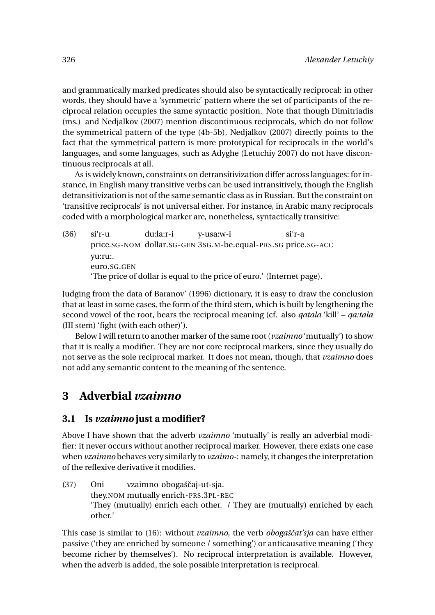and grammatically marked predicates should also be syntactically reciprocal: in other words, they should have a 'symmetric' pattern where the set of participants of the reciprocal relation occupies the same syntactic position. Note that though Dimitriadis (ms.) and Nedjalkov (2007) mention discontinuous reciprocals, which do not follow the symmetrical pattern of the type (4b-5b), Nedjalkov (2007) directly points to the fact that the symmetrical pattern is more prototypical for reciprocals in the world's languages, and some languages, such as Adyghe (Letuchiy 2007) do not have discontinuous reciprocals at all.

As is widely known, constraints on detransitivization differ across languages: for instance, in English many transitive verbs can be used intransitively, though the English detransitivization is not of the same semantic class as in Russian. But the constraint on 'transitive reciprocals' is not universal either. For instance, in Arabic many reciprocals coded with a morphological marker are, nonetheless, syntactically transitive:

(36) si'r-u price.SG-NOM dollar.SG-GEN 3SG.M-be.equal-PRS.SG price.SG-ACC du:la:r-i y-usa:w-i si'r-a yu:ru:. euro.SG.GEN 'The price of dollar is equal to the price of euro.' (Internet page).

Judging from the data of Baranov' (1996) dictionary, it is easy to draw the conclusion that at least in some cases, the form of the third stem, which is built by lengthening the second vowel of the root, bears the reciprocal meaning (cf. also *qatala* 'kill' – *qa:tala* (III stem) 'fight (with each other)').

Below I will return to another marker of the same root (*vzaimno* 'mutually') to show that it is really a modifier. They are not core reciprocal markers, since they usually do not serve as the sole reciprocal marker. It does not mean, though, that *vzaimno* does not add any semantic content to the meaning of the sentence.

# **3 Adverbial** *vzaimno*

#### **3.1 Is** *vzaimno* **just a modifier?**

Above I have shown that the adverb *vzaimno* 'mutually' is really an adverbial modifier: it never occurs without another reciprocal marker. However, there exists one case when *vzaimno* behaves very similarly to *vzaimo-*: namely, it changes the interpretation of the reflexive derivative it modifies.

(37) Oni they.NOM mutually enrich-PRS.3PL-REC vzaimno obogaščaj-ut-sja. 'They (mutually) enrich each other. / They are (mutually) enriched by each other.'

This case is similar to (16): without *vzaimno*, the verb *obogašˇcat'sja* can have either passive ('they are enriched by someone / something') or anticausative meaning ('they become richer by themselves'). No reciprocal interpretation is available. However, when the adverb is added, the sole possible interpretation is reciprocal.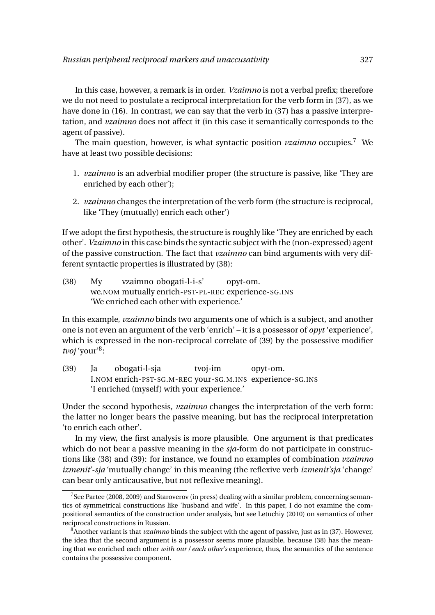In this case, however, a remark is in order. *Vzaimno* is not a verbal prefix; therefore we do not need to postulate a reciprocal interpretation for the verb form in (37), as we have done in (16). In contrast, we can say that the verb in (37) has a passive interpretation, and *vzaimno* does not affect it (in this case it semantically corresponds to the agent of passive).

The main question, however, is what syntactic position *vzaimno* occupies.<sup>7</sup> We have at least two possible decisions:

- 1. *vzaimno* is an adverbial modifier proper (the structure is passive, like 'They are enriched by each other');
- 2. *vzaimno* changes the interpretation of the verb form (the structure is reciprocal, like 'They (mutually) enrich each other')

If we adopt the first hypothesis, the structure is roughly like 'They are enriched by each other'. *Vzaimno* in this case binds the syntactic subject with the (non-expressed) agent of the passive construction. The fact that *vzaimno* can bind arguments with very different syntactic properties is illustrated by (38):

(38) My we.NOM mutually enrich-PST-PL-REC experience-SG.INS vzaimno obogati-l-i-s' opyt-om. 'We enriched each other with experience.'

In this example, *vzaimno* binds two arguments one of which is a subject, and another one is not even an argument of the verb 'enrich' – it is a possessor of *opyt* 'experience', which is expressed in the non-reciprocal correlate of (39) by the possessive modifier tvoj 'your'<sup>8</sup>:

(39) Ja I.NOM enrich-PST-SG.M-REC your-SG.M.INS experience-SG.INS obogati-l-sja tvoj-im opyt-om. 'I enriched (myself) with your experience.'

Under the second hypothesis, *vzaimno* changes the interpretation of the verb form: the latter no longer bears the passive meaning, but has the reciprocal interpretation 'to enrich each other'.

In my view, the first analysis is more plausible. One argument is that predicates which do not bear a passive meaning in the *sja-*form do not participate in constructions like (38) and (39): for instance, we found no examples of combination *vzaimno izmenit'-sja* 'mutually change' in this meaning (the reflexive verb *izmenit'sja* 'change' can bear only anticausative, but not reflexive meaning).

<sup>&</sup>lt;sup>7</sup>See Partee (2008, 2009) and Staroverov (in press) dealing with a similar problem, concerning semantics of symmetrical constructions like 'husband and wife'. In this paper, I do not examine the compositional semantics of the construction under analysis, but see Letuchiy (2010) on semantics of other reciprocal constructions in Russian.

<sup>&</sup>lt;sup>8</sup>Another variant is that *vzaimno* binds the subject with the agent of passive, just as in (37). However, the idea that the second argument is a possessor seems more plausible, because (38) has the meaning that we enriched each other *with our / each other's* experience, thus, the semantics of the sentence contains the possessive component.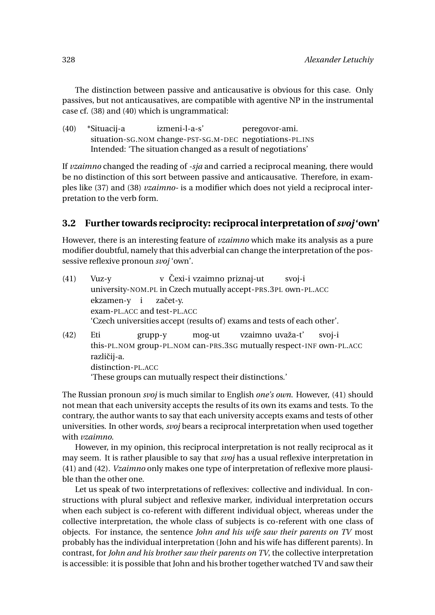The distinction between passive and anticausative is obvious for this case. Only passives, but not anticausatives, are compatible with agentive NP in the instrumental case cf. (38) and (40) which is ungrammatical:

(40) \*Situacij-a situation-SG.NOM change-PST-SG.M-DEC negotiations-PL.INS izmeni-l-a-s' peregovor-ami. Intended: 'The situation changed as a result of negotiations'

If *vzaimno* changed the reading of *-sja* and carried a reciprocal meaning, there would be no distinction of this sort between passive and anticausative. Therefore, in examples like (37) and (38) *vzaimno-* is a modifier which does not yield a reciprocal interpretation to the verb form.

# **3.2 Further towards reciprocity: reciprocal interpretation of** *svoj* **'own'**

However, there is an interesting feature of *vzaimno* which make its analysis as a pure modifier doubtful, namely that this adverbial can change the interpretation of the possessive reflexive pronoun *svoj* 'own'.

| (41) | Vuz-y                                                                   |  | v Čexi-i vzaimno priznaj-ut                                   | svoj-i |
|------|-------------------------------------------------------------------------|--|---------------------------------------------------------------|--------|
|      |                                                                         |  | university-NOM.PL in Czech mutually accept-PRS.3PL own-PL.ACC |        |
|      | ekzamen-y i začet-y.                                                    |  |                                                               |        |
|      | exam-PL.ACC and test-PL.ACC                                             |  |                                                               |        |
|      | 'Czech universities accept (results of) exams and tests of each other'. |  |                                                               |        |
|      |                                                                         |  |                                                               |        |

(42) Eti this-PL.NOM group-PL.NOM can-PRS.3SG mutually respect-INF own-PL.ACC grupp-y mog-ut vzaimno uvaža-t' svoj-i različii-a. distinction-PL.ACC 'These groups can mutually respect their distinctions.'

The Russian pronoun *svoj* is much similar to English *one's own*. However, (41) should not mean that each university accepts the results of its own its exams and tests. To the contrary, the author wants to say that each university accepts exams and tests of other universities. In other words, *svoj* bears a reciprocal interpretation when used together with *vzaimno*.

However, in my opinion, this reciprocal interpretation is not really reciprocal as it may seem. It is rather plausible to say that *svoj* has a usual reflexive interpretation in (41) and (42). *Vzaimno* only makes one type of interpretation of reflexive more plausible than the other one.

Let us speak of two interpretations of reflexives: collective and individual. In constructions with plural subject and reflexive marker, individual interpretation occurs when each subject is co-referent with different individual object, whereas under the collective interpretation, the whole class of subjects is co-referent with one class of objects. For instance, the sentence *John and his wife saw their parents on TV* most probably has the individual interpretation (John and his wife has different parents). In contrast, for *John and his brother saw their parents on TV*, the collective interpretation is accessible: it is possible that John and his brother together watched TV and saw their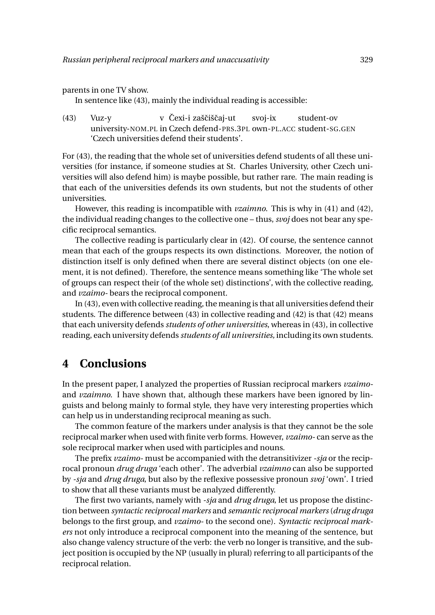parents in one TV show.

In sentence like (43), mainly the individual reading is accessible:

(43) Vuz-y university-NOM.PL in Czech defend-PRS.3PL own-PL.ACC student-SG.GEN v Čexi-i zaščiščaj-ut svoj-ix student-ov 'Czech universities defend their students'.

For (43), the reading that the whole set of universities defend students of all these universities (for instance, if someone studies at St. Charles University, other Czech universities will also defend him) is maybe possible, but rather rare. The main reading is that each of the universities defends its own students, but not the students of other universities.

However, this reading is incompatible with *vzaimno*. This is why in (41) and (42), the individual reading changes to the collective one – thus, *svoj* does not bear any specific reciprocal semantics.

The collective reading is particularly clear in (42). Of course, the sentence cannot mean that each of the groups respects its own distinctions. Moreover, the notion of distinction itself is only defined when there are several distinct objects (on one element, it is not defined). Therefore, the sentence means something like 'The whole set of groups can respect their (of the whole set) distinctions', with the collective reading, and *vzaimo-* bears the reciprocal component.

In (43), even with collective reading, the meaning is that all universities defend their students. The difference between (43) in collective reading and (42) is that (42) means that each university defends *students of other universities*, whereas in (43), in collective reading, each university defends *students of all universities,* including its own students.

# **4 Conclusions**

In the present paper, I analyzed the properties of Russian reciprocal markers *vzaimo*and *vzaimno*. I have shown that, although these markers have been ignored by linguists and belong mainly to formal style, they have very interesting properties which can help us in understanding reciprocal meaning as such.

The common feature of the markers under analysis is that they cannot be the sole reciprocal marker when used with finite verb forms. However, *vzaimo-* can serve as the sole reciprocal marker when used with participles and nouns.

The prefix *vzaimo-* must be accompanied with the detransitivizer *-sja* or the reciprocal pronoun *drug druga* 'each other'. The adverbial *vzaimno* can also be supported by *-sja* and *drug druga*, but also by the reflexive possessive pronoun *svoj* 'own'. I tried to show that all these variants must be analyzed differently.

The first two variants, namely with *-sja* and *drug druga*, let us propose the distinction between *syntactic reciprocal markers* and *semantic reciprocal markers* (*drug druga* belongs to the first group, and *vzaimo-* to the second one). *Syntactic reciprocal markers* not only introduce a reciprocal component into the meaning of the sentence, but also change valency structure of the verb: the verb no longer is transitive, and the subject position is occupied by the NP (usually in plural) referring to all participants of the reciprocal relation.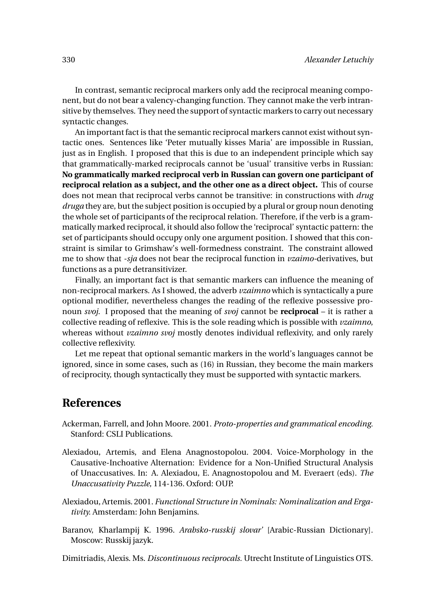In contrast, semantic reciprocal markers only add the reciprocal meaning component, but do not bear a valency-changing function. They cannot make the verb intransitive by themselves. They need the support of syntactic markers to carry out necessary syntactic changes.

An important fact is that the semantic reciprocal markers cannot exist without syntactic ones. Sentences like 'Peter mutually kisses Maria' are impossible in Russian, just as in English. I proposed that this is due to an independent principle which say that grammatically-marked reciprocals cannot be 'usual' transitive verbs in Russian: **No grammatically marked reciprocal verb in Russian can govern one participant of reciprocal relation as a subject, and the other one as a direct object.** This of course does not mean that reciprocal verbs cannot be transitive: in constructions with *drug druga* they are, but the subject position is occupied by a plural or group noun denoting the whole set of participants of the reciprocal relation. Therefore, if the verb is a grammatically marked reciprocal, it should also follow the 'reciprocal' syntactic pattern: the set of participants should occupy only one argument position. I showed that this constraint is similar to Grimshaw's well-formedness constraint. The constraint allowed me to show that *-sja* does not bear the reciprocal function in *vzaimo-*derivatives, but functions as a pure detransitivizer.

Finally, an important fact is that semantic markers can influence the meaning of non-reciprocal markers. As I showed, the adverb *vzaimno* which is syntactically a pure optional modifier, nevertheless changes the reading of the reflexive possessive pronoun *svoj*. I proposed that the meaning of *svoj* cannot be **reciprocal** – it is rather a collective reading of reflexive. This is the sole reading which is possible with *vzaimno*, whereas without *vzaimno svoj* mostly denotes individual reflexivity, and only rarely collective reflexivity.

Let me repeat that optional semantic markers in the world's languages cannot be ignored, since in some cases, such as (16) in Russian, they become the main markers of reciprocity, though syntactically they must be supported with syntactic markers.

## **References**

- Ackerman, Farrell, and John Moore. 2001. *Proto-properties and grammatical encoding.* Stanford: CSLI Publications.
- Alexiadou, Artemis, and Elena Anagnostopolou. 2004. Voice-Morphology in the Causative-Inchoative Alternation: Evidence for a Non-Unified Structural Analysis of Unaccusatives. In: A. Alexiadou, E. Anagnostopolou and M. Everaert (eds). *The Unaccusativity Puzzle*, 114-136*.* Oxford: OUP.
- Alexiadou, Artemis. 2001. *Functional Structure in Nominals: Nominalization and Ergativity.* Amsterdam: John Benjamins.
- Baranov, Kharlampij K. 1996. *Arabsko-russkij slovar'* [Arabic-Russian Dictionary]*.* Moscow: Russkij jazyk.

Dimitriadis, Alexis. Ms. *Discontinuous reciprocals.* Utrecht Institute of Linguistics OTS.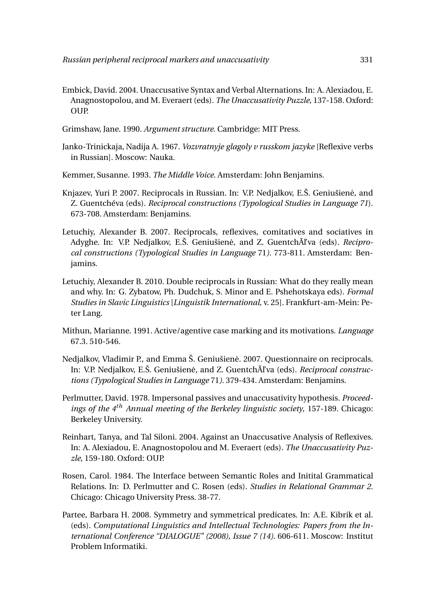- Embick, David. 2004. Unaccusative Syntax and Verbal Alternations. In: A. Alexiadou, E. Anagnostopolou, and M. Everaert (eds). *The Unaccusativity Puzzle*, 137-158*.* Oxford: **OUP.**
- Grimshaw, Jane. 1990. *Argument structure*. Cambridge: MIT Press.
- Janko-Trinickaja, Nadija A. 1967. *Vozvratnyje glagoly v russkom jazyke* [Reflexive verbs in Russian]. Moscow: Nauka.
- Kemmer, Susanne. 1993. *The Middle Voice*. Amsterdam: John Benjamins.
- Knjazev, Yuri P. 2007. Reciprocals in Russian. In: V.P. Nedjalkov, E.Š. Geniušiene, and ˙ Z. Guentchéva (eds). *Reciprocal constructions (Typological Studies in Language 71*). 673-708. Amsterdam: Benjamins.
- Letuchiy, Alexander B. 2007. Reciprocals, reflexives, comitatives and sociatives in Adyghe. In: V.P. Nedjalkov, E.Š. Geniušienė, and Z. Guentch**Ãľ** va (eds). *Reciprocal constructions (Typological Studies in Language* 71*)*. 773-811. Amsterdam: Benjamins.
- Letuchiy, Alexander B. 2010. Double reciprocals in Russian: What do they really mean and why. In: G. Zybatow, Ph. Dudchuk, S. Minor and E. Pshehotskaya eds). *Formal Studies in Slavic Linguistics* [*Linguistik International*, v. 25]. Frankfurt-am-Mein: Peter Lang.
- Mithun, Marianne. 1991. Active/agentive case marking and its motivations. *Language* 67.3. 510-546.
- Nedjalkov, Vladimir P., and Emma Š. Geniušienė. 2007. Questionnaire on reciprocals. In: V.P. Nedjalkov, E.Š. Geniušienė, and Z. Guentch**Ãľ** va (eds). *Reciprocal constructions (Typological Studies in Language* 71*)*. 379-434. Amsterdam: Benjamins.
- Perlmutter, David. 1978. Impersonal passives and unaccusativity hypothesis*. Proceedings of the 4th Annual meeting of the Berkeley linguistic society*, 157-189. Chicago: Berkeley University.
- Reinhart, Tanya, and Tal Siloni. 2004. Against an Unaccusative Analysis of Reflexives. In: A. Alexiadou, E. Anagnostopolou and M. Everaert (eds). *The Unaccusativity Puzzle*, 159-180*.* Oxford: OUP.
- Rosen, Carol. 1984. The Interface between Semantic Roles and Initital Grammatical Relations. In: D. Perlmutter and C. Rosen (eds). *Studies in Relational Grammar 2.* Chicago: Chicago University Press. 38-77.
- Partee, Barbara H. 2008. Symmetry and symmetrical predicates. In: A.E. Kibrik et al. (eds). *Computational Linguistics and Intellectual Technologies: Papers from the International Conference "DIALOGUE" (2008), Issue 7 (14)*. 606-611. Moscow: Institut Problem Informatiki.